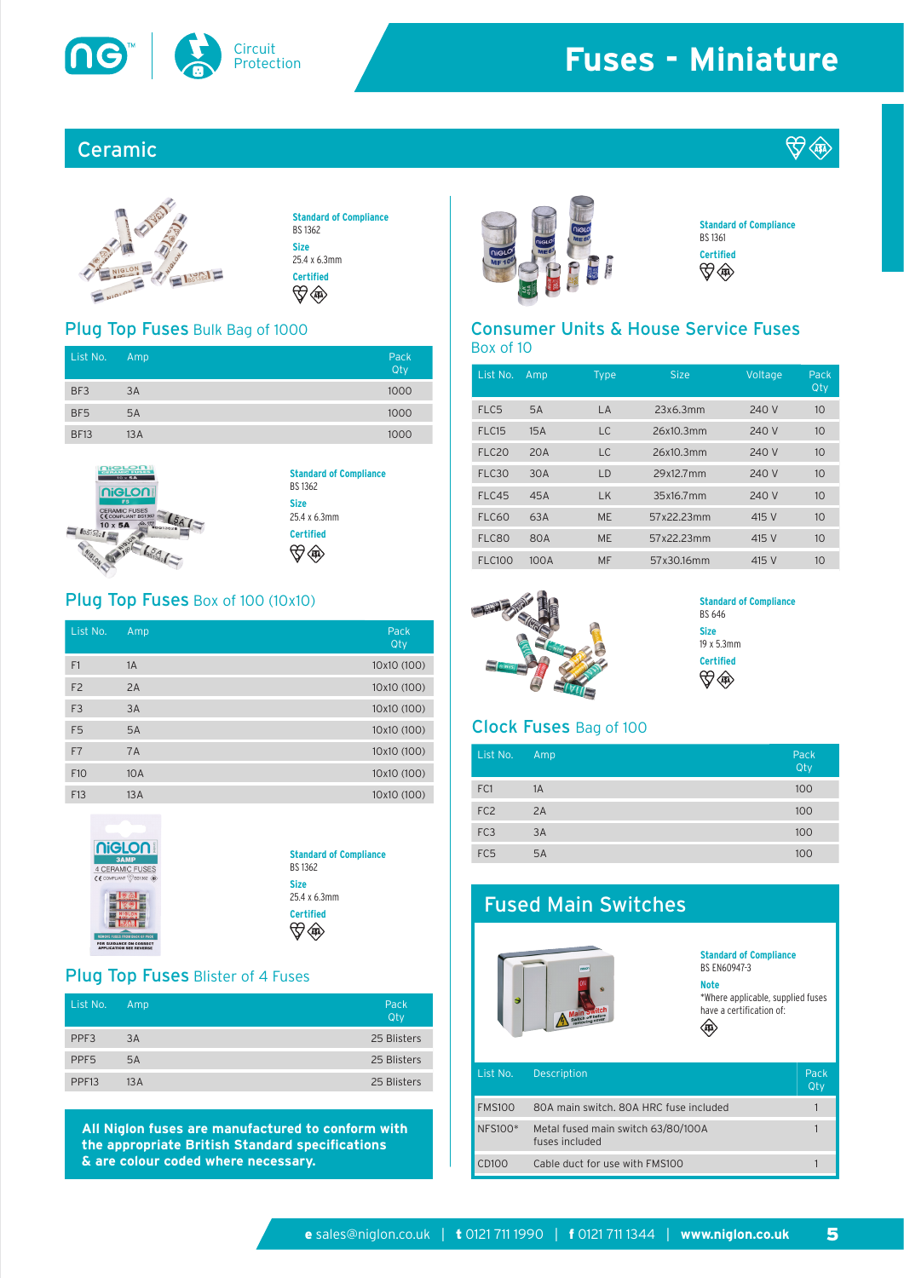

# **Fuses - Miniature**

## Ceramic



## Plug Top Fuses Bulk Bag of 1000

| List No.        | Amp | Pack | Box of 10       |  |
|-----------------|-----|------|-----------------|--|
|                 |     | Qty  | List No.<br>– A |  |
| BF3             | 3A  | 1000 |                 |  |
| BF <sub>5</sub> | 5A  | 1000 | FLC5            |  |
| <b>BF13</b>     | 13A | 1000 | FLC15           |  |



#### **Standard of Compliance** BS 1362 **Size** 25.4 x 6.3mm **Certified**  $\bigoplus$   $\bigoplus$

### Plug Top Fuses Box of 100 (10x10)

| List No.        | Amp | Pack<br>Qty |
|-----------------|-----|-------------|
| F1              | 1A  | 10x10 (100) |
| F <sub>2</sub>  | 2A  | 10x10 (100) |
| F <sub>3</sub>  | 3A  | 10x10 (100) |
| F <sub>5</sub>  | 5A  | 10x10 (100) |
| F7              | 7A  | 10x10 (100) |
| F <sub>10</sub> | 10A | 10x10 (100) |
| F13             | 13A | 10x10 (100) |



#### **Standard of Compliance** BS 1362 **Size** 25.4 x 6.3mm **Certified**

### Plug Top Fuses Blister of 4 Fuses

| List No.          | Amp. | Pack<br>Qty |
|-------------------|------|-------------|
| PPF <sub>3</sub>  | 3A   | 25 Blisters |
| PPF <sub>5</sub>  | 5A   | 25 Blisters |
| PPF <sub>13</sub> | 13A  | 25 Blisters |

**All Niglon fuses are manufactured to conform with the appropriate British Standard specifications & are colour coded where necessary.**



**Standard of Compliance** BS 1361 **Certified DO ABD** 

**DER ATA** 

# Consumer Units & House Service Fuses

| List No.          | Amp  | <b>Type</b> | <b>Size</b> | Voltage | Pack<br>Qty |
|-------------------|------|-------------|-------------|---------|-------------|
| FLC5              | 5A   | LA          | 23x6.3mm    | 240 V   | 10          |
| FLC15             | 15A  | LC.         | 26x10.3mm   | 240 V   | 10          |
| FLC <sub>20</sub> | 20A  | LC.         | 26x10.3mm   | 240 V   | 10          |
| FLC30             | 30A  | LD          | 29x12.7mm   | 240 V   | 10          |
| FLC45             | 45A  | LK          | 35x16.7mm   | 240 V   | 10          |
| <b>FLC60</b>      | 63A  | <b>ME</b>   | 57x22.23mm  | 415 V   | 10          |
| FLC80             | 80A  | <b>ME</b>   | 57x22.23mm  | 415 V   | 10          |
| <b>FLC100</b>     | 100A | MF          | 57x30.16mm  | 415 V   | 10          |



#### **Standard of Compliance** BS 646 **Size** 19 x 5.3mm **Certified \$ <40>**

### Clock Fuses Bag of 100

| List No.        | Amp | Pack<br>Qty |
|-----------------|-----|-------------|
| FC1             | 1A  | 100         |
| FC <sub>2</sub> | 2A  | 100         |
| FC <sub>3</sub> | 3A  | 100         |
| FC <sub>5</sub> | 5A  | 100         |

# Fused Main Switches **Standard of Compliance** BS EN60947-3 **Note** \*Where applicable, supplied fuses have a certification of:(454) List No. Description Pack According to the Pack FMS100 80A main switch. 80A HRC fuse included 1 NFS100\* Metal fused main switch 63/80/100A 1 fuses included CD100 Cable duct for use with FMS100 1